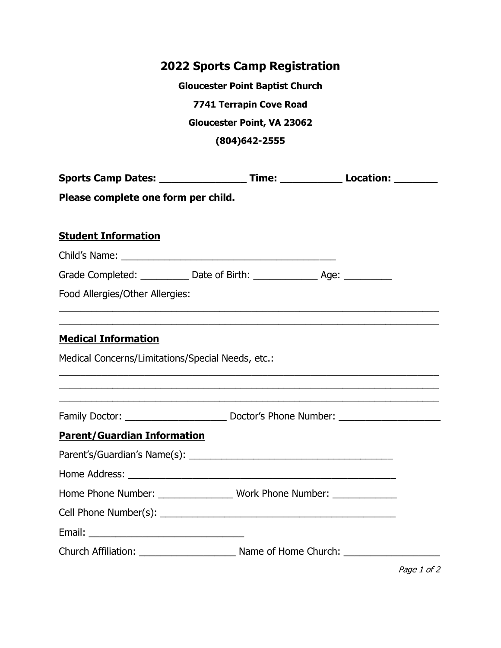## **2022 Sports Camp Registration**

**Gloucester Point Baptist Church 7741 Terrapin Cove Road Gloucester Point, VA 23062 (804)642-2555**

|                                                                                                                     |  | Sports Camp Dates: ____________________Time: ________________Location: _________                                                                                                                           |  |  |
|---------------------------------------------------------------------------------------------------------------------|--|------------------------------------------------------------------------------------------------------------------------------------------------------------------------------------------------------------|--|--|
| Please complete one form per child.                                                                                 |  |                                                                                                                                                                                                            |  |  |
| <b>Student Information</b>                                                                                          |  |                                                                                                                                                                                                            |  |  |
|                                                                                                                     |  |                                                                                                                                                                                                            |  |  |
| Grade Completed: ____________ Date of Birth: ________________ Age: ____________                                     |  |                                                                                                                                                                                                            |  |  |
| Food Allergies/Other Allergies:<br>,我们也不能在这里的时候,我们也不能在这里的时候,我们也不能在这里的时候,我们也不能会在这里的时候,我们也不能会在这里的时候,我们也不能会在这里的时候,我们也不 |  |                                                                                                                                                                                                            |  |  |
| <b>Medical Information</b>                                                                                          |  |                                                                                                                                                                                                            |  |  |
| Medical Concerns/Limitations/Special Needs, etc.:                                                                   |  |                                                                                                                                                                                                            |  |  |
|                                                                                                                     |  | ,我们也不能在这里的时候,我们也不能在这里的时候,我们也不能在这里的时候,我们也不能会在这里的时候,我们也不能会在这里的时候,我们也不能会在这里的时候,我们也不能<br><u> 1989 - Johann John Stein, marwolaeth a bhaile an t-Amhain an t-Amhain an t-Amhain an t-Amhain an t-Amhain an </u> |  |  |
| <b>Parent/Guardian Information</b>                                                                                  |  |                                                                                                                                                                                                            |  |  |
|                                                                                                                     |  |                                                                                                                                                                                                            |  |  |
|                                                                                                                     |  |                                                                                                                                                                                                            |  |  |
| Home Phone Number: ________________ Work Phone Number: ____________                                                 |  |                                                                                                                                                                                                            |  |  |
|                                                                                                                     |  |                                                                                                                                                                                                            |  |  |
|                                                                                                                     |  |                                                                                                                                                                                                            |  |  |
|                                                                                                                     |  |                                                                                                                                                                                                            |  |  |

Page 1 of 2